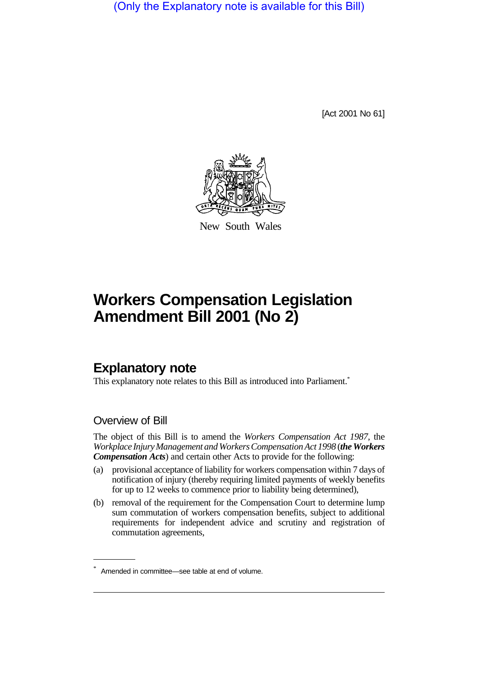(Only the Explanatory note is available for this Bill)

[Act 2001 No 61]



New South Wales

## **Workers Compensation Legislation Amendment Bill 2001 (No 2)**

## **Explanatory note**

This explanatory note relates to this Bill as introduced into Parliament.<sup>\*</sup>

## Overview of Bill

The object of this Bill is to amend the *Workers Compensation Act 1987*, the *Workplace Injury Management and Workers Compensation Act 1998* (*the Workers Compensation Acts*) and certain other Acts to provide for the following:

- (a) provisional acceptance of liability for workers compensation within 7 days of notification of injury (thereby requiring limited payments of weekly benefits for up to 12 weeks to commence prior to liability being determined),
- (b) removal of the requirement for the Compensation Court to determine lump sum commutation of workers compensation benefits, subject to additional requirements for independent advice and scrutiny and registration of commutation agreements,

<sup>\*</sup> Amended in committee—see table at end of volume.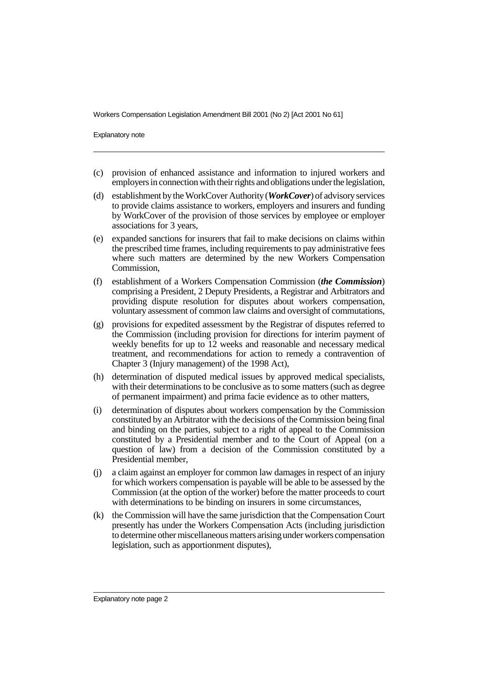Explanatory note

- (c) provision of enhanced assistance and information to injured workers and employers in connection with their rights and obligations under the legislation,
- (d) establishment by the WorkCover Authority (*WorkCover*) of advisory services to provide claims assistance to workers, employers and insurers and funding by WorkCover of the provision of those services by employee or employer associations for 3 years,
- (e) expanded sanctions for insurers that fail to make decisions on claims within the prescribed time frames, including requirements to pay administrative fees where such matters are determined by the new Workers Compensation Commission,
- (f) establishment of a Workers Compensation Commission (*the Commission*) comprising a President, 2 Deputy Presidents, a Registrar and Arbitrators and providing dispute resolution for disputes about workers compensation, voluntary assessment of common law claims and oversight of commutations,
- (g) provisions for expedited assessment by the Registrar of disputes referred to the Commission (including provision for directions for interim payment of weekly benefits for up to 12 weeks and reasonable and necessary medical treatment, and recommendations for action to remedy a contravention of Chapter 3 (Injury management) of the 1998 Act),
- (h) determination of disputed medical issues by approved medical specialists, with their determinations to be conclusive as to some matters (such as degree of permanent impairment) and prima facie evidence as to other matters,
- (i) determination of disputes about workers compensation by the Commission constituted by an Arbitrator with the decisions of the Commission being final and binding on the parties, subject to a right of appeal to the Commission constituted by a Presidential member and to the Court of Appeal (on a question of law) from a decision of the Commission constituted by a Presidential member,
- (j) a claim against an employer for common law damages in respect of an injury for which workers compensation is payable will be able to be assessed by the Commission (at the option of the worker) before the matter proceeds to court with determinations to be binding on insurers in some circumstances,
- (k) the Commission will have the same jurisdiction that the Compensation Court presently has under the Workers Compensation Acts (including jurisdiction to determine other miscellaneous matters arising under workers compensation legislation, such as apportionment disputes),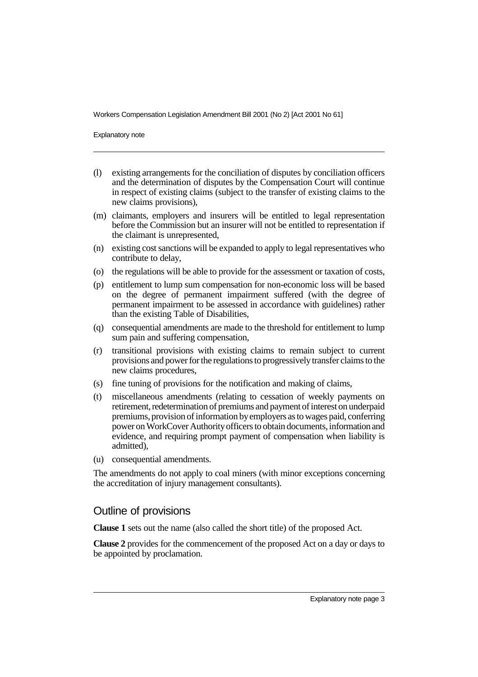Explanatory note

- (l) existing arrangements for the conciliation of disputes by conciliation officers and the determination of disputes by the Compensation Court will continue in respect of existing claims (subject to the transfer of existing claims to the new claims provisions),
- (m) claimants, employers and insurers will be entitled to legal representation before the Commission but an insurer will not be entitled to representation if the claimant is unrepresented,
- (n) existing cost sanctions will be expanded to apply to legal representatives who contribute to delay,
- (o) the regulations will be able to provide for the assessment or taxation of costs,
- (p) entitlement to lump sum compensation for non-economic loss will be based on the degree of permanent impairment suffered (with the degree of permanent impairment to be assessed in accordance with guidelines) rather than the existing Table of Disabilities,
- (q) consequential amendments are made to the threshold for entitlement to lump sum pain and suffering compensation,
- (r) transitional provisions with existing claims to remain subject to current provisions and power for the regulations to progressively transfer claims to the new claims procedures,
- (s) fine tuning of provisions for the notification and making of claims,
- (t) miscellaneous amendments (relating to cessation of weekly payments on retirement, redetermination of premiums and payment of interest on underpaid premiums, provision of information by employers as to wages paid, conferring power on WorkCover Authority officers to obtain documents, information and evidence, and requiring prompt payment of compensation when liability is admitted),
- (u) consequential amendments.

The amendments do not apply to coal miners (with minor exceptions concerning the accreditation of injury management consultants).

## Outline of provisions

**Clause 1** sets out the name (also called the short title) of the proposed Act.

**Clause 2** provides for the commencement of the proposed Act on a day or days to be appointed by proclamation.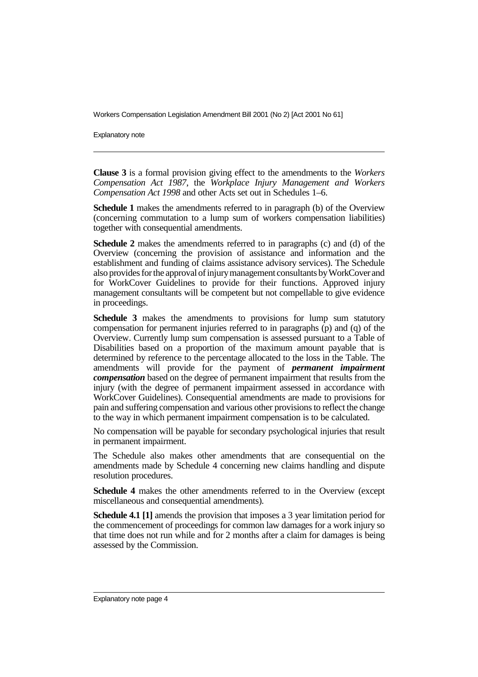Explanatory note

**Clause 3** is a formal provision giving effect to the amendments to the *Workers Compensation Act 1987*, the *Workplace Injury Management and Workers Compensation Act 1998* and other Acts set out in Schedules 1–6.

**Schedule 1** makes the amendments referred to in paragraph (b) of the Overview (concerning commutation to a lump sum of workers compensation liabilities) together with consequential amendments.

**Schedule 2** makes the amendments referred to in paragraphs (c) and (d) of the Overview (concerning the provision of assistance and information and the establishment and funding of claims assistance advisory services). The Schedule also provides for the approval of injury management consultants by WorkCover and for WorkCover Guidelines to provide for their functions. Approved injury management consultants will be competent but not compellable to give evidence in proceedings.

**Schedule 3** makes the amendments to provisions for lump sum statutory compensation for permanent injuries referred to in paragraphs (p) and (q) of the Overview. Currently lump sum compensation is assessed pursuant to a Table of Disabilities based on a proportion of the maximum amount payable that is determined by reference to the percentage allocated to the loss in the Table. The amendments will provide for the payment of *permanent impairment compensation* based on the degree of permanent impairment that results from the injury (with the degree of permanent impairment assessed in accordance with WorkCover Guidelines). Consequential amendments are made to provisions for pain and suffering compensation and various other provisions to reflect the change to the way in which permanent impairment compensation is to be calculated.

No compensation will be payable for secondary psychological injuries that result in permanent impairment.

The Schedule also makes other amendments that are consequential on the amendments made by Schedule 4 concerning new claims handling and dispute resolution procedures.

**Schedule 4** makes the other amendments referred to in the Overview (except miscellaneous and consequential amendments).

**Schedule 4.1** [1] amends the provision that imposes a 3 year limitation period for the commencement of proceedings for common law damages for a work injury so that time does not run while and for 2 months after a claim for damages is being assessed by the Commission.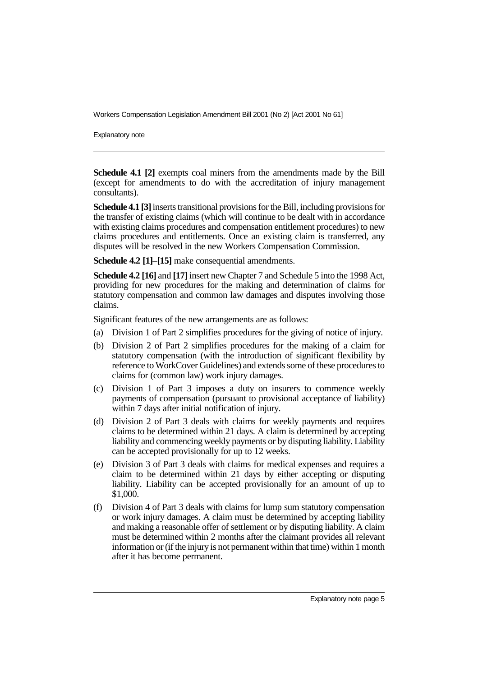Explanatory note

**Schedule 4.1 [2]** exempts coal miners from the amendments made by the Bill (except for amendments to do with the accreditation of injury management consultants).

**Schedule 4.1 [3]** inserts transitional provisions for the Bill, including provisions for the transfer of existing claims (which will continue to be dealt with in accordance with existing claims procedures and compensation entitlement procedures) to new claims procedures and entitlements. Once an existing claim is transferred, any disputes will be resolved in the new Workers Compensation Commission.

**Schedule 4.2 [1]**–**[15]** make consequential amendments.

**Schedule 4.2 [16]** and **[17]** insert new Chapter 7 and Schedule 5 into the 1998 Act, providing for new procedures for the making and determination of claims for statutory compensation and common law damages and disputes involving those claims.

Significant features of the new arrangements are as follows:

- (a) Division 1 of Part 2 simplifies procedures for the giving of notice of injury.
- (b) Division 2 of Part 2 simplifies procedures for the making of a claim for statutory compensation (with the introduction of significant flexibility by reference to WorkCover Guidelines) and extends some of these procedures to claims for (common law) work injury damages.
- (c) Division 1 of Part 3 imposes a duty on insurers to commence weekly payments of compensation (pursuant to provisional acceptance of liability) within 7 days after initial notification of injury.
- (d) Division 2 of Part 3 deals with claims for weekly payments and requires claims to be determined within 21 days. A claim is determined by accepting liability and commencing weekly payments or by disputing liability. Liability can be accepted provisionally for up to 12 weeks.
- (e) Division 3 of Part 3 deals with claims for medical expenses and requires a claim to be determined within 21 days by either accepting or disputing liability. Liability can be accepted provisionally for an amount of up to \$1,000.
- (f) Division 4 of Part 3 deals with claims for lump sum statutory compensation or work injury damages. A claim must be determined by accepting liability and making a reasonable offer of settlement or by disputing liability. A claim must be determined within 2 months after the claimant provides all relevant information or (if the injury is not permanent within that time) within 1 month after it has become permanent.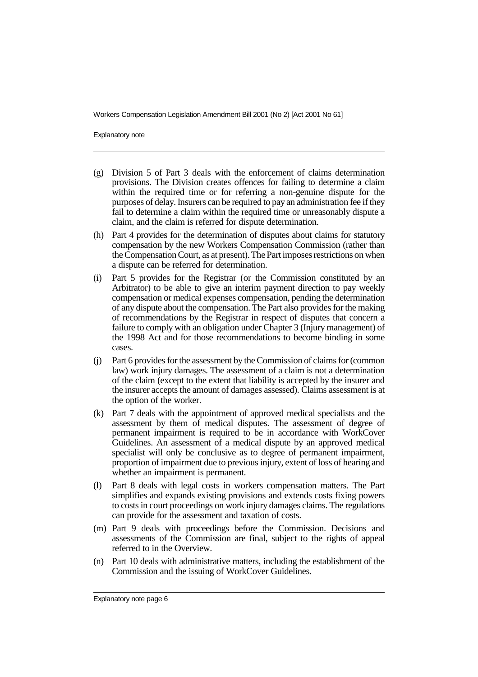Explanatory note

- (g) Division 5 of Part 3 deals with the enforcement of claims determination provisions. The Division creates offences for failing to determine a claim within the required time or for referring a non-genuine dispute for the purposes of delay. Insurers can be required to pay an administration fee if they fail to determine a claim within the required time or unreasonably dispute a claim, and the claim is referred for dispute determination.
- (h) Part 4 provides for the determination of disputes about claims for statutory compensation by the new Workers Compensation Commission (rather than the Compensation Court, as at present). The Part imposes restrictions on when a dispute can be referred for determination.
- (i) Part 5 provides for the Registrar (or the Commission constituted by an Arbitrator) to be able to give an interim payment direction to pay weekly compensation or medical expenses compensation, pending the determination of any dispute about the compensation. The Part also provides for the making of recommendations by the Registrar in respect of disputes that concern a failure to comply with an obligation under Chapter 3 (Injury management) of the 1998 Act and for those recommendations to become binding in some cases.
- (j) Part 6 provides for the assessment by the Commission of claims for (common law) work injury damages. The assessment of a claim is not a determination of the claim (except to the extent that liability is accepted by the insurer and the insurer accepts the amount of damages assessed). Claims assessment is at the option of the worker.
- (k) Part 7 deals with the appointment of approved medical specialists and the assessment by them of medical disputes. The assessment of degree of permanent impairment is required to be in accordance with WorkCover Guidelines. An assessment of a medical dispute by an approved medical specialist will only be conclusive as to degree of permanent impairment, proportion of impairment due to previous injury, extent of loss of hearing and whether an impairment is permanent.
- (l) Part 8 deals with legal costs in workers compensation matters. The Part simplifies and expands existing provisions and extends costs fixing powers to costs in court proceedings on work injury damages claims. The regulations can provide for the assessment and taxation of costs.
- (m) Part 9 deals with proceedings before the Commission. Decisions and assessments of the Commission are final, subject to the rights of appeal referred to in the Overview.
- (n) Part 10 deals with administrative matters, including the establishment of the Commission and the issuing of WorkCover Guidelines.